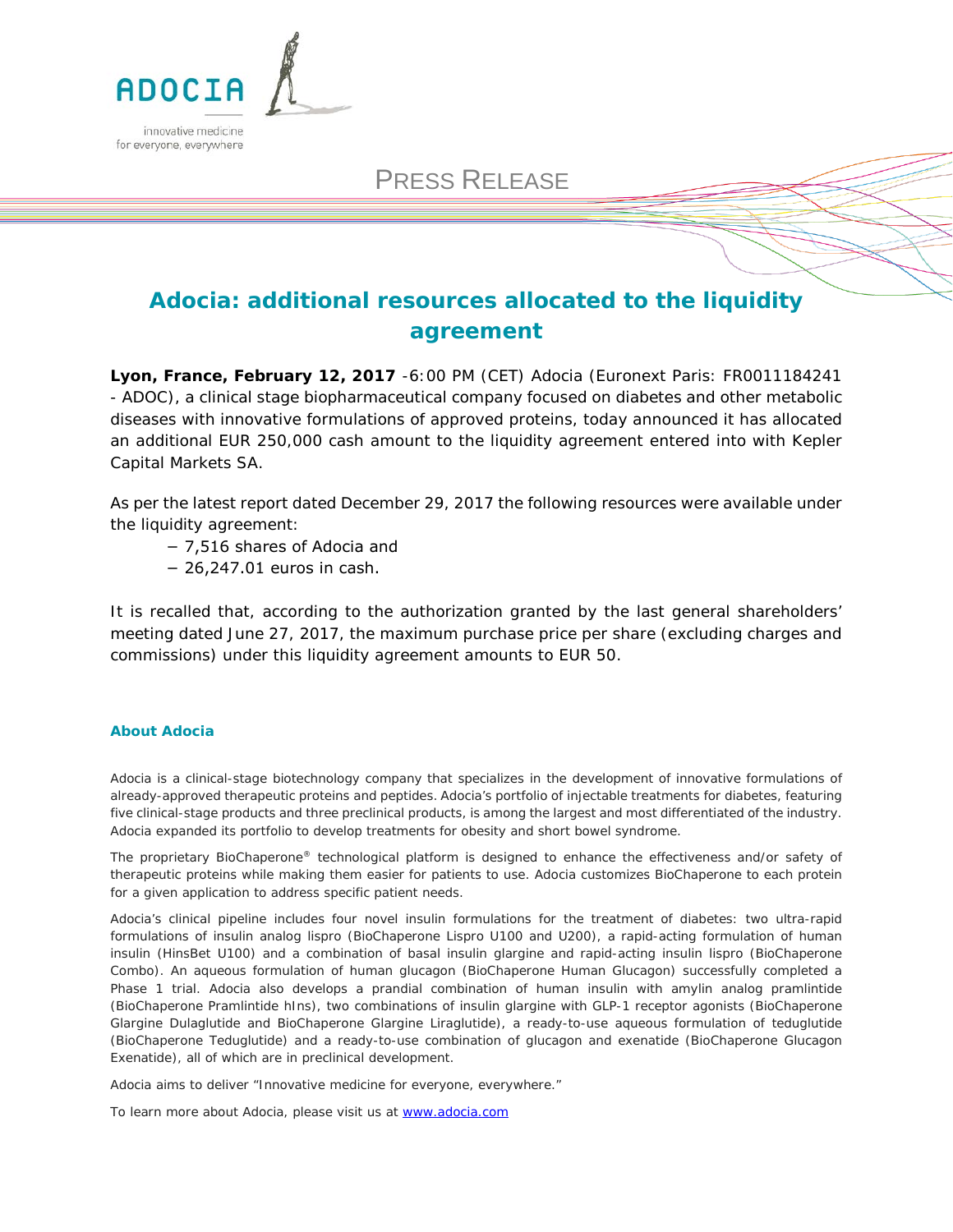

# PRESS RELEASE

# **Adocia: additional resources allocated to the liquidity agreement**

**Lyon, France, February 12, 2017** -6:00 PM (CET) Adocia (Euronext Paris: FR0011184241 - ADOC), a clinical stage biopharmaceutical company focused on diabetes and other metabolic diseases with innovative formulations of approved proteins, today announced it has allocated an additional EUR 250,000 cash amount to the liquidity agreement entered into with Kepler Capital Markets SA.

As per the latest report dated December 29, 2017 the following resources were available under the liquidity agreement:

− 7,516 shares of Adocia and

− 26,247.01 euros in cash.

It is recalled that, according to the authorization granted by the last general shareholders' meeting dated June 27, 2017, the maximum purchase price per share (excluding charges and commissions) under this liquidity agreement amounts to EUR 50.

#### **About Adocia**

Adocia is a clinical-stage biotechnology company that specializes in the development of innovative formulations of already-approved therapeutic proteins and peptides. Adocia's portfolio of injectable treatments for diabetes, featuring five clinical-stage products and three preclinical products, is among the largest and most differentiated of the industry. Adocia expanded its portfolio to develop treatments for obesity and short bowel syndrome.

The proprietary BioChaperone® technological platform is designed to enhance the effectiveness and/or safety of therapeutic proteins while making them easier for patients to use. Adocia customizes BioChaperone to each protein for a given application to address specific patient needs.

Adocia's clinical pipeline includes four novel insulin formulations for the treatment of diabetes: two ultra-rapid formulations of insulin analog lispro (BioChaperone Lispro U100 and U200), a rapid-acting formulation of human insulin (HinsBet U100) and a combination of basal insulin glargine and rapid-acting insulin lispro (BioChaperone Combo). An aqueous formulation of human glucagon (BioChaperone Human Glucagon) successfully completed a Phase 1 trial. Adocia also develops a prandial combination of human insulin with amylin analog pramlintide (BioChaperone Pramlintide hIns), two combinations of insulin glargine with GLP-1 receptor agonists (BioChaperone Glargine Dulaglutide and BioChaperone Glargine Liraglutide), a ready-to-use aqueous formulation of teduglutide (BioChaperone Teduglutide) and a ready-to-use combination of glucagon and exenatide (BioChaperone Glucagon Exenatide), all of which are in preclinical development.

*Adocia aims to deliver "Innovative medicine for everyone, everywhere."*

To learn more about Adocia, please visit us a[t www.adocia.com](http://www.adocia.com/)